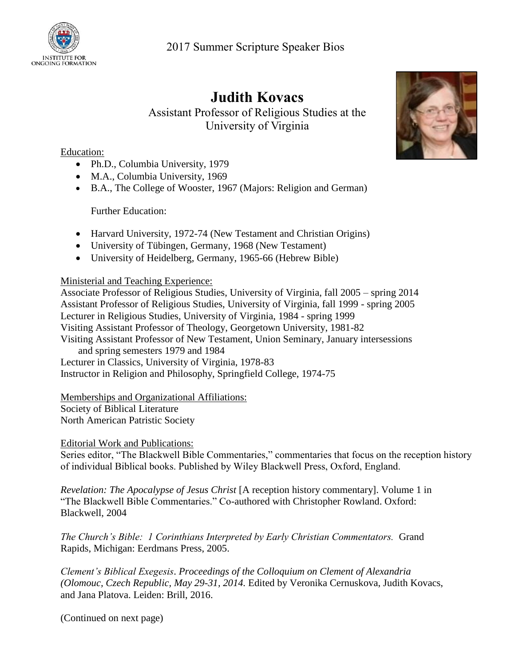

## **Judith Kovacs**

Assistant Professor of Religious Studies at the University of Virginia

## Education:

- Ph.D., Columbia University, 1979
- M.A., Columbia University, 1969
- B.A., The College of Wooster, 1967 (Majors: Religion and German)

Further Education:

- Harvard University, 1972-74 (New Testament and Christian Origins)
- University of Tübingen, Germany, 1968 (New Testament)
- University of Heidelberg, Germany, 1965-66 (Hebrew Bible)

## Ministerial and Teaching Experience:

Associate Professor of Religious Studies, University of Virginia, fall 2005 – spring 2014 Assistant Professor of Religious Studies, University of Virginia, fall 1999 - spring 2005 Lecturer in Religious Studies, University of Virginia, 1984 - spring 1999 Visiting Assistant Professor of Theology, Georgetown University, 1981-82 Visiting Assistant Professor of New Testament, Union Seminary, January intersessions and spring semesters 1979 and 1984 Lecturer in Classics, University of Virginia, 1978-83 Instructor in Religion and Philosophy, Springfield College, 1974-75

Memberships and Organizational Affiliations: Society of Biblical Literature North American Patristic Society

Editorial Work and Publications:

Series editor, "The Blackwell Bible Commentaries," commentaries that focus on the reception history of individual Biblical books. Published by Wiley Blackwell Press, Oxford, England.

*Revelation: The Apocalypse of Jesus Christ* [A reception history commentary]. Volume 1 in "The Blackwell Bible Commentaries." Co-authored with Christopher Rowland. Oxford: Blackwell, 2004

*The Church's Bible: 1 Corinthians Interpreted by Early Christian Commentators.* Grand Rapids, Michigan: Eerdmans Press, 2005.

*Clement's Biblical Exegesis*. *Proceedings of the Colloquium on Clement of Alexandria (Olomouc, Czech Republic, May 29-31, 2014.* Edited by Veronika Cernuskova, Judith Kovacs, and Jana Platova. Leiden: Brill, 2016.

(Continued on next page)